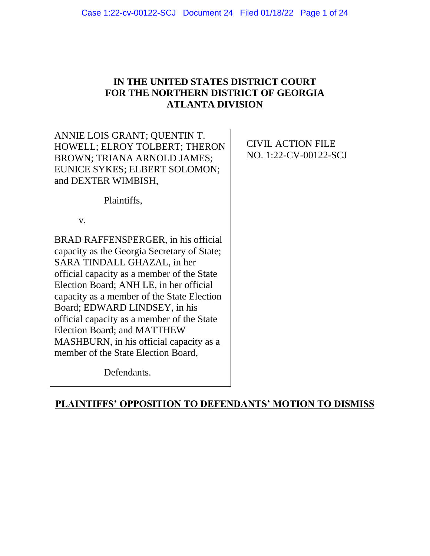## **IN THE UNITED STATES DISTRICT COURT FOR THE NORTHERN DISTRICT OF GEORGIA ATLANTA DIVISION**

### ANNIE LOIS GRANT; QUENTIN T. HOWELL; ELROY TOLBERT; THERON BROWN; TRIANA ARNOLD JAMES; EUNICE SYKES; ELBERT SOLOMON; and DEXTER WIMBISH,

CIVIL ACTION FILE NO. 1:22-CV-00122-SCJ

Plaintiffs,

v.

BRAD RAFFENSPERGER, in his official capacity as the Georgia Secretary of State; SARA TINDALL GHAZAL, in her official capacity as a member of the State Election Board; ANH LE, in her official capacity as a member of the State Election Board; EDWARD LINDSEY, in his official capacity as a member of the State Election Board; and MATTHEW MASHBURN, in his official capacity as a member of the State Election Board,

Defendants.

## **PLAINTIFFS' OPPOSITION TO DEFENDANTS' MOTION TO DISMISS**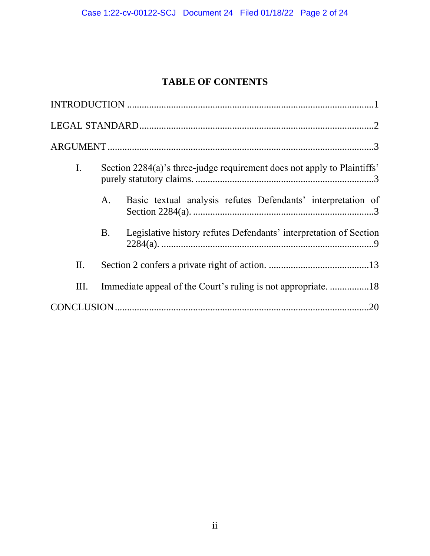# **TABLE OF CONTENTS**

| $\mathbf{I}$ . | Section 2284(a)'s three-judge requirement does not apply to Plaintiffs' |                                                                   |
|----------------|-------------------------------------------------------------------------|-------------------------------------------------------------------|
|                | A.                                                                      | Basic textual analysis refutes Defendants' interpretation of      |
|                | <b>B.</b>                                                               | Legislative history refutes Defendants' interpretation of Section |
| П.             |                                                                         |                                                                   |
| Ш.             |                                                                         |                                                                   |
|                |                                                                         | .20                                                               |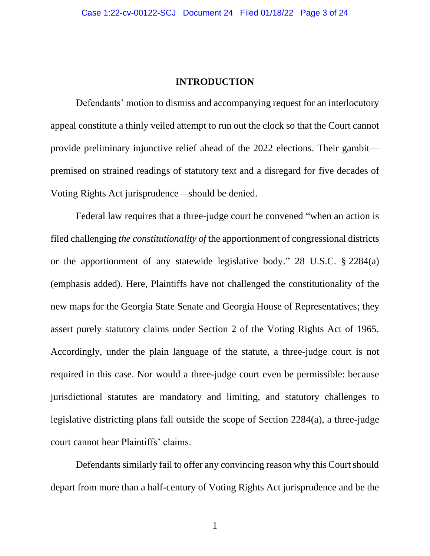#### **INTRODUCTION**

<span id="page-2-0"></span>Defendants' motion to dismiss and accompanying request for an interlocutory appeal constitute a thinly veiled attempt to run out the clock so that the Court cannot provide preliminary injunctive relief ahead of the 2022 elections. Their gambit premised on strained readings of statutory text and a disregard for five decades of Voting Rights Act jurisprudence—should be denied.

Federal law requires that a three-judge court be convened "when an action is filed challenging *the constitutionality of* the apportionment of congressional districts or the apportionment of any statewide legislative body." 28 U.S.C. § 2284(a) (emphasis added). Here, Plaintiffs have not challenged the constitutionality of the new maps for the Georgia State Senate and Georgia House of Representatives; they assert purely statutory claims under Section 2 of the Voting Rights Act of 1965. Accordingly, under the plain language of the statute, a three-judge court is not required in this case. Nor would a three-judge court even be permissible: because jurisdictional statutes are mandatory and limiting, and statutory challenges to legislative districting plans fall outside the scope of Section 2284(a), a three-judge court cannot hear Plaintiffs' claims.

Defendants similarly fail to offer any convincing reason why this Court should depart from more than a half-century of Voting Rights Act jurisprudence and be the

1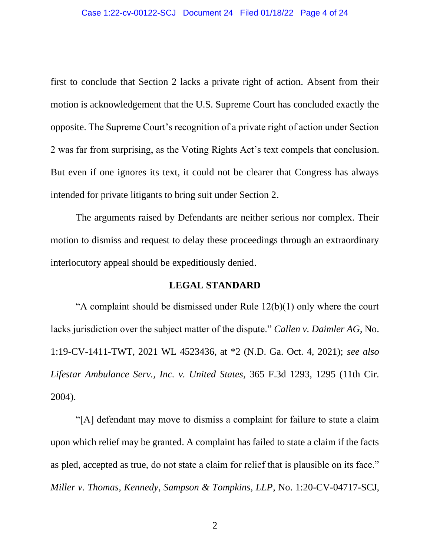first to conclude that Section 2 lacks a private right of action. Absent from their motion is acknowledgement that the U.S. Supreme Court has concluded exactly the opposite. The Supreme Court's recognition of a private right of action under Section 2 was far from surprising, as the Voting Rights Act's text compels that conclusion. But even if one ignores its text, it could not be clearer that Congress has always intended for private litigants to bring suit under Section 2.

The arguments raised by Defendants are neither serious nor complex. Their motion to dismiss and request to delay these proceedings through an extraordinary interlocutory appeal should be expeditiously denied.

#### **LEGAL STANDARD**

<span id="page-3-0"></span>"A complaint should be dismissed under Rule  $12(b)(1)$  only where the court lacks jurisdiction over the subject matter of the dispute." *Callen v. Daimler AG*, No. 1:19-CV-1411-TWT, 2021 WL 4523436, at \*2 (N.D. Ga. Oct. 4, 2021); *see also Lifestar Ambulance Serv., Inc. v. United States*, 365 F.3d 1293, 1295 (11th Cir. 2004).

"[A] defendant may move to dismiss a complaint for failure to state a claim upon which relief may be granted. A complaint has failed to state a claim if the facts as pled, accepted as true, do not state a claim for relief that is plausible on its face." *Miller v. Thomas, Kennedy, Sampson & Tompkins, LLP*, No. 1:20-CV-04717-SCJ,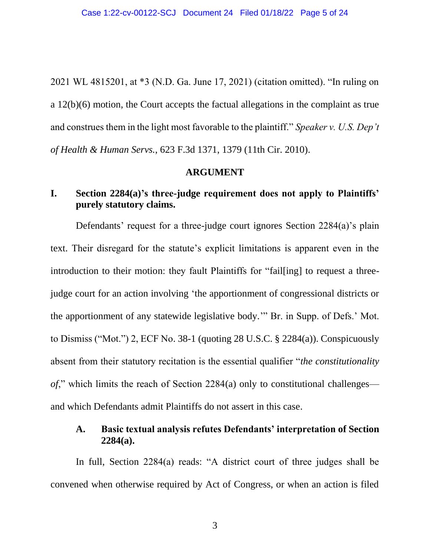2021 WL 4815201, at \*3 (N.D. Ga. June 17, 2021) (citation omitted). "In ruling on a 12(b)(6) motion, the Court accepts the factual allegations in the complaint as true and construes them in the light most favorable to the plaintiff." *Speaker v. U.S. Dep't of Health & Human Servs.*, 623 F.3d 1371, 1379 (11th Cir. 2010).

#### **ARGUMENT**

### <span id="page-4-1"></span><span id="page-4-0"></span>**I. Section 2284(a)'s three-judge requirement does not apply to Plaintiffs' purely statutory claims.**

Defendants' request for a three-judge court ignores Section 2284(a)'s plain text. Their disregard for the statute's explicit limitations is apparent even in the introduction to their motion: they fault Plaintiffs for "fail[ing] to request a threejudge court for an action involving 'the apportionment of congressional districts or the apportionment of any statewide legislative body.'" Br. in Supp. of Defs.' Mot. to Dismiss ("Mot.") 2, ECF No. 38-1 (quoting 28 U.S.C. § 2284(a)). Conspicuously absent from their statutory recitation is the essential qualifier "*the constitutionality of*," which limits the reach of Section 2284(a) only to constitutional challenges and which Defendants admit Plaintiffs do not assert in this case.

### <span id="page-4-2"></span>**A. Basic textual analysis refutes Defendants' interpretation of Section 2284(a).**

In full, Section 2284(a) reads: "A district court of three judges shall be convened when otherwise required by Act of Congress, or when an action is filed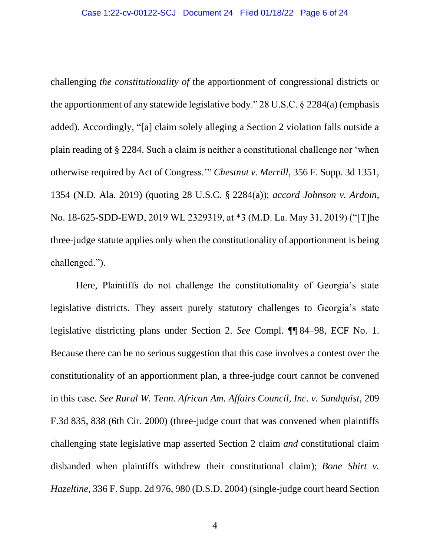challenging *the constitutionality of* the apportionment of congressional districts or the apportionment of any statewide legislative body." 28 U.S.C. § 2284(a) (emphasis added). Accordingly, "[a] claim solely alleging a Section 2 violation falls outside a plain reading of § 2284. Such a claim is neither a constitutional challenge nor 'when otherwise required by Act of Congress.'" *Chestnut v. Merrill*, 356 F. Supp. 3d 1351, 1354 (N.D. Ala. 2019) (quoting 28 U.S.C. § 2284(a)); *accord Johnson v. Ardoin*, No. 18-625-SDD-EWD, 2019 WL 2329319, at \*3 (M.D. La. May 31, 2019) ("[T]he three-judge statute applies only when the constitutionality of apportionment is being challenged.").

Here, Plaintiffs do not challenge the constitutionality of Georgia's state legislative districts. They assert purely statutory challenges to Georgia's state legislative districting plans under Section 2. *See* Compl. ¶¶ 84–98, ECF No. 1. Because there can be no serious suggestion that this case involves a contest over the constitutionality of an apportionment plan, a three-judge court cannot be convened in this case. *See Rural W. Tenn. African Am. Affairs Council, Inc. v. Sundquist*, 209 F.3d 835, 838 (6th Cir. 2000) (three-judge court that was convened when plaintiffs challenging state legislative map asserted Section 2 claim *and* constitutional claim disbanded when plaintiffs withdrew their constitutional claim); *Bone Shirt v. Hazeltine*, 336 F. Supp. 2d 976, 980 (D.S.D. 2004) (single-judge court heard Section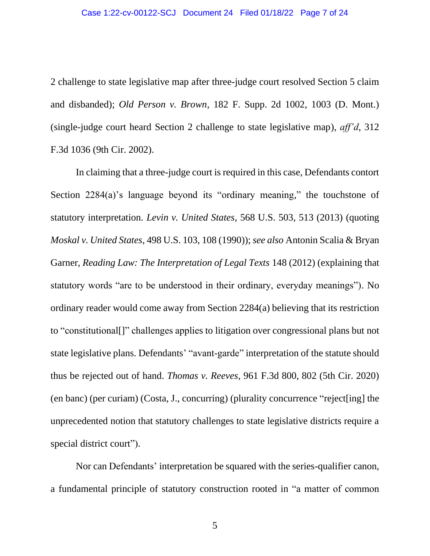2 challenge to state legislative map after three-judge court resolved Section 5 claim and disbanded); *Old Person v. Brown*, 182 F. Supp. 2d 1002, 1003 (D. Mont.) (single-judge court heard Section 2 challenge to state legislative map), *aff'd*, 312 F.3d 1036 (9th Cir. 2002).

In claiming that a three-judge court is required in this case, Defendants contort Section 2284(a)'s language beyond its "ordinary meaning," the touchstone of statutory interpretation. *Levin v. United States*, 568 U.S. 503, 513 (2013) (quoting *Moskal v. United States*, 498 U.S. 103, 108 (1990)); *see also* Antonin Scalia & Bryan Garner, *Reading Law: The Interpretation of Legal Texts* 148 (2012) (explaining that statutory words "are to be understood in their ordinary, everyday meanings"). No ordinary reader would come away from Section 2284(a) believing that its restriction to "constitutional[]" challenges applies to litigation over congressional plans but not state legislative plans. Defendants' "avant-garde" interpretation of the statute should thus be rejected out of hand. *Thomas v. Reeves*, 961 F.3d 800, 802 (5th Cir. 2020) (en banc) (per curiam) (Costa, J., concurring) (plurality concurrence "reject[ing] the unprecedented notion that statutory challenges to state legislative districts require a special district court").

Nor can Defendants' interpretation be squared with the series-qualifier canon, a fundamental principle of statutory construction rooted in "a matter of common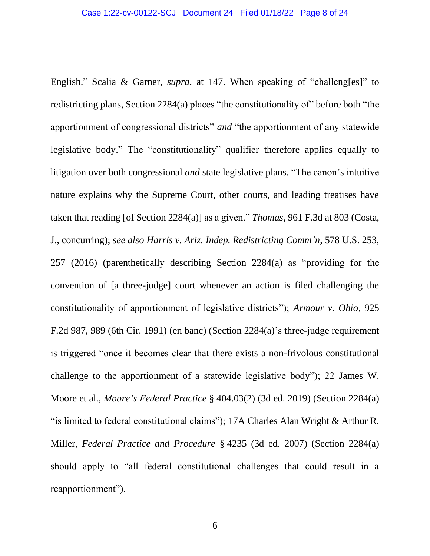English." Scalia & Garner, *supra*, at 147. When speaking of "challeng[es]" to redistricting plans, Section 2284(a) places "the constitutionality of" before both "the apportionment of congressional districts" *and* "the apportionment of any statewide legislative body." The "constitutionality" qualifier therefore applies equally to litigation over both congressional *and* state legislative plans. "The canon's intuitive nature explains why the Supreme Court, other courts, and leading treatises have taken that reading [of Section 2284(a)] as a given." *Thomas*, 961 F.3d at 803 (Costa, J., concurring); *see also Harris v. Ariz. Indep. Redistricting Comm'n*, 578 U.S. 253, 257 (2016) (parenthetically describing Section 2284(a) as "providing for the convention of [a three-judge] court whenever an action is filed challenging the constitutionality of apportionment of legislative districts"); *Armour v. Ohio*, 925 F.2d 987, 989 (6th Cir. 1991) (en banc) (Section 2284(a)'s three-judge requirement is triggered "once it becomes clear that there exists a non-frivolous constitutional challenge to the apportionment of a statewide legislative body"); 22 James W. Moore et al., *Moore's Federal Practice* § 404.03(2) (3d ed. 2019) (Section 2284(a) "is limited to federal constitutional claims"); 17A Charles Alan Wright & Arthur R. Miller, *Federal Practice and Procedure* § 4235 (3d ed. 2007) (Section 2284(a) should apply to "all federal constitutional challenges that could result in a reapportionment").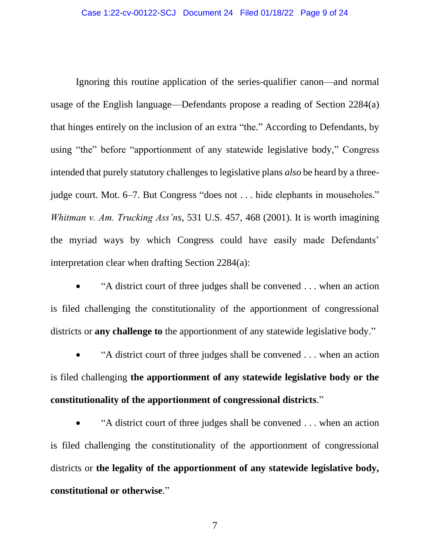Ignoring this routine application of the series-qualifier canon—and normal usage of the English language—Defendants propose a reading of Section 2284(a) that hinges entirely on the inclusion of an extra "the." According to Defendants, by using "the" before "apportionment of any statewide legislative body," Congress intended that purely statutory challenges to legislative plans *also* be heard by a threejudge court. Mot. 6–7. But Congress "does not . . . hide elephants in mouseholes." *Whitman v. Am. Trucking Ass'ns*, 531 U.S. 457, 468 (2001). It is worth imagining the myriad ways by which Congress could have easily made Defendants' interpretation clear when drafting Section 2284(a):

• "A district court of three judges shall be convened . . . when an action is filed challenging the constitutionality of the apportionment of congressional districts or **any challenge to** the apportionment of any statewide legislative body."

• "A district court of three judges shall be convened . . . when an action is filed challenging **the apportionment of any statewide legislative body or the constitutionality of the apportionment of congressional districts**."

• "A district court of three judges shall be convened . . . when an action is filed challenging the constitutionality of the apportionment of congressional districts or **the legality of the apportionment of any statewide legislative body, constitutional or otherwise**."

7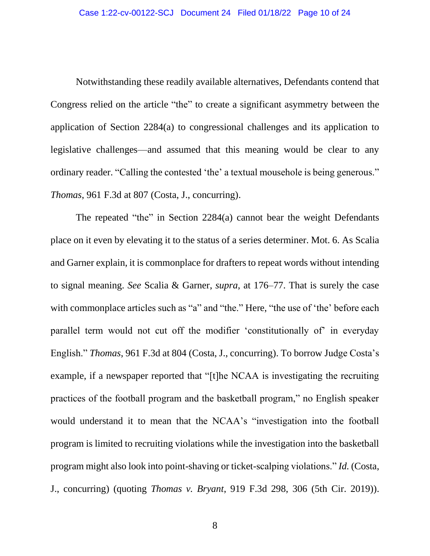Notwithstanding these readily available alternatives, Defendants contend that Congress relied on the article "the" to create a significant asymmetry between the application of Section 2284(a) to congressional challenges and its application to legislative challenges—and assumed that this meaning would be clear to any ordinary reader. "Calling the contested 'the' a textual mousehole is being generous." *Thomas*, 961 F.3d at 807 (Costa, J., concurring).

The repeated "the" in Section 2284(a) cannot bear the weight Defendants place on it even by elevating it to the status of a series determiner. Mot. 6. As Scalia and Garner explain, it is commonplace for drafters to repeat words without intending to signal meaning. *See* Scalia & Garner, *supra*, at 176–77. That is surely the case with commonplace articles such as "a" and "the." Here, "the use of 'the' before each parallel term would not cut off the modifier 'constitutionally of' in everyday English." *Thomas*, 961 F.3d at 804 (Costa, J., concurring). To borrow Judge Costa's example, if a newspaper reported that "[t]he NCAA is investigating the recruiting practices of the football program and the basketball program," no English speaker would understand it to mean that the NCAA's "investigation into the football program is limited to recruiting violations while the investigation into the basketball program might also look into point-shaving or ticket-scalping violations." *Id.* (Costa, J., concurring) (quoting *Thomas v. Bryant*, 919 F.3d 298, 306 (5th Cir. 2019)).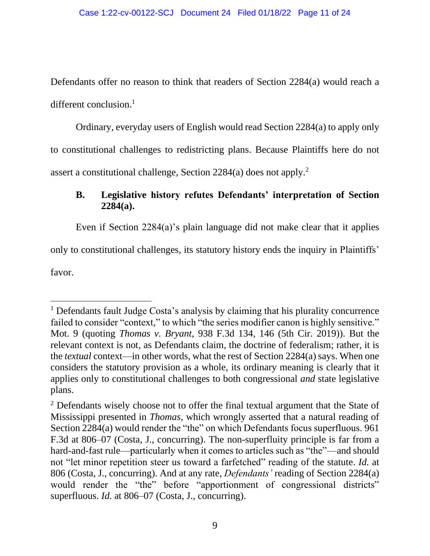Defendants offer no reason to think that readers of Section 2284(a) would reach a different conclusion.<sup>1</sup>

Ordinary, everyday users of English would read Section 2284(a) to apply only to constitutional challenges to redistricting plans. Because Plaintiffs here do not assert a constitutional challenge, Section 2284(a) does not apply.<sup>2</sup>

## <span id="page-10-0"></span>**B. Legislative history refutes Defendants' interpretation of Section 2284(a).**

Even if Section 2284(a)'s plain language did not make clear that it applies

only to constitutional challenges, its statutory history ends the inquiry in Plaintiffs'

favor.

<sup>1</sup> Defendants fault Judge Costa's analysis by claiming that his plurality concurrence failed to consider "context," to which "the series modifier canon is highly sensitive." Mot. 9 (quoting *Thomas v. Bryant*, 938 F.3d 134, 146 (5th Cir. 2019)). But the relevant context is not, as Defendants claim, the doctrine of federalism; rather, it is the *textual* context—in other words, what the rest of Section 2284(a) says. When one considers the statutory provision as a whole, its ordinary meaning is clearly that it applies only to constitutional challenges to both congressional *and* state legislative plans.

 $2$  Defendants wisely choose not to offer the final textual argument that the State of Mississippi presented in *Thomas*, which wrongly asserted that a natural reading of Section 2284(a) would render the "the" on which Defendants focus superfluous. 961 F.3d at 806–07 (Costa, J., concurring). The non-superfluity principle is far from a hard-and-fast rule—particularly when it comes to articles such as "the"—and should not "let minor repetition steer us toward a farfetched" reading of the statute. *Id.* at 806 (Costa, J., concurring). And at any rate, *Defendants'* reading of Section 2284(a) would render the "the" before "apportionment of congressional districts" superfluous. *Id.* at 806–07 (Costa, J., concurring).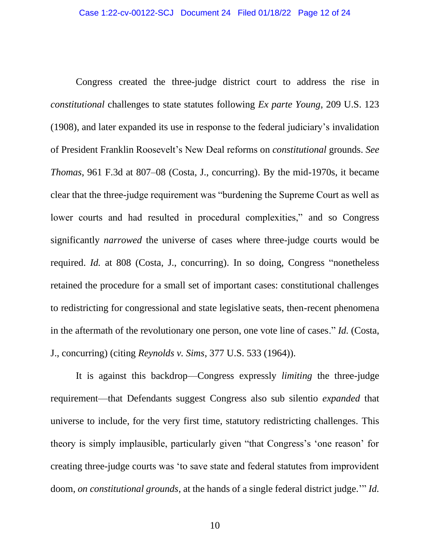Congress created the three-judge district court to address the rise in *constitutional* challenges to state statutes following *Ex parte Young*, 209 U.S. 123 (1908), and later expanded its use in response to the federal judiciary's invalidation of President Franklin Roosevelt's New Deal reforms on *constitutional* grounds. *See Thomas*, 961 F.3d at 807–08 (Costa, J., concurring). By the mid-1970s, it became clear that the three-judge requirement was "burdening the Supreme Court as well as lower courts and had resulted in procedural complexities," and so Congress significantly *narrowed* the universe of cases where three-judge courts would be required. *Id.* at 808 (Costa, J., concurring). In so doing, Congress "nonetheless retained the procedure for a small set of important cases: constitutional challenges to redistricting for congressional and state legislative seats, then-recent phenomena in the aftermath of the revolutionary one person, one vote line of cases." *Id.* (Costa, J., concurring) (citing *Reynolds v. Sims*, 377 U.S. 533 (1964)).

It is against this backdrop—Congress expressly *limiting* the three-judge requirement—that Defendants suggest Congress also sub silentio *expanded* that universe to include, for the very first time, statutory redistricting challenges. This theory is simply implausible, particularly given "that Congress's 'one reason' for creating three-judge courts was 'to save state and federal statutes from improvident doom, *on constitutional grounds*, at the hands of a single federal district judge.'" *Id.*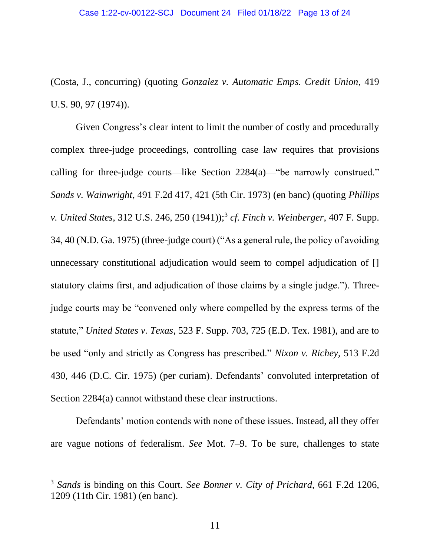(Costa, J., concurring) (quoting *Gonzalez v. Automatic Emps. Credit Union*, 419 U.S. 90, 97 (1974)).

Given Congress's clear intent to limit the number of costly and procedurally complex three-judge proceedings, controlling case law requires that provisions calling for three-judge courts—like Section 2284(a)—"be narrowly construed." *Sands v. Wainwright*, 491 F.2d 417, 421 (5th Cir. 1973) (en banc) (quoting *Phillips v. United States*, 312 U.S. 246, 250 (1941));<sup>3</sup> *cf. Finch v. Weinberger*, 407 F. Supp. 34, 40 (N.D. Ga. 1975) (three-judge court) ("As a general rule, the policy of avoiding unnecessary constitutional adjudication would seem to compel adjudication of [] statutory claims first, and adjudication of those claims by a single judge."). Threejudge courts may be "convened only where compelled by the express terms of the statute," *United States v. Texas*, 523 F. Supp. 703, 725 (E.D. Tex. 1981), and are to be used "only and strictly as Congress has prescribed." *Nixon v. Richey*, 513 F.2d 430, 446 (D.C. Cir. 1975) (per curiam). Defendants' convoluted interpretation of Section 2284(a) cannot withstand these clear instructions.

Defendants' motion contends with none of these issues. Instead, all they offer are vague notions of federalism. *See* Mot. 7–9. To be sure, challenges to state

<sup>3</sup> *Sands* is binding on this Court. *See Bonner v. City of Prichard*, 661 F.2d 1206, 1209 (11th Cir. 1981) (en banc).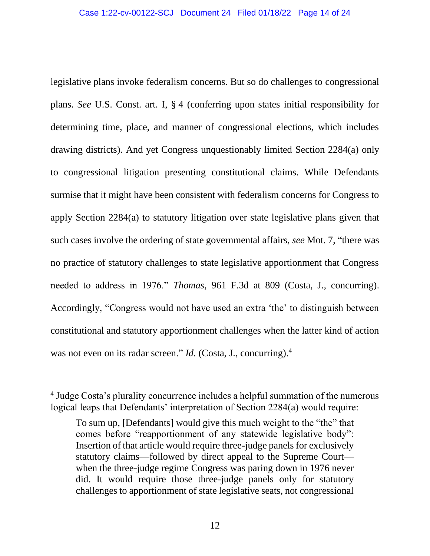legislative plans invoke federalism concerns. But so do challenges to congressional plans. *See* U.S. Const. art. I, § 4 (conferring upon states initial responsibility for determining time, place, and manner of congressional elections, which includes drawing districts). And yet Congress unquestionably limited Section 2284(a) only to congressional litigation presenting constitutional claims. While Defendants surmise that it might have been consistent with federalism concerns for Congress to apply Section 2284(a) to statutory litigation over state legislative plans given that such cases involve the ordering of state governmental affairs, *see* Mot. 7, "there was no practice of statutory challenges to state legislative apportionment that Congress needed to address in 1976." *Thomas*, 961 F.3d at 809 (Costa, J., concurring). Accordingly, "Congress would not have used an extra 'the' to distinguish between constitutional and statutory apportionment challenges when the latter kind of action was not even on its radar screen." *Id.* (Costa, J., concurring).<sup>4</sup>

<sup>&</sup>lt;sup>4</sup> Judge Costa's plurality concurrence includes a helpful summation of the numerous logical leaps that Defendants' interpretation of Section 2284(a) would require:

To sum up, [Defendants] would give this much weight to the "the" that comes before "reapportionment of any statewide legislative body": Insertion of that article would require three-judge panels for exclusively statutory claims—followed by direct appeal to the Supreme Court when the three-judge regime Congress was paring down in 1976 never did. It would require those three-judge panels only for statutory challenges to apportionment of state legislative seats, not congressional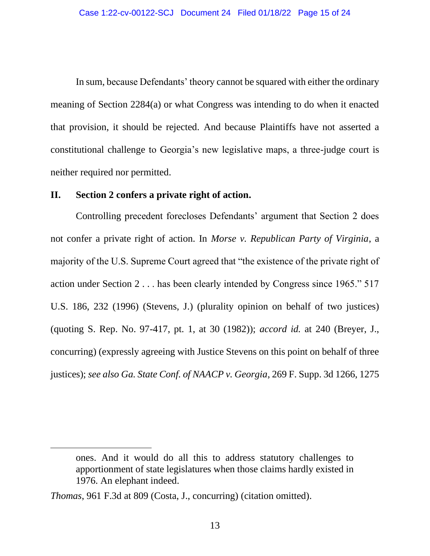In sum, because Defendants' theory cannot be squared with either the ordinary meaning of Section 2284(a) or what Congress was intending to do when it enacted that provision, it should be rejected. And because Plaintiffs have not asserted a constitutional challenge to Georgia's new legislative maps, a three-judge court is neither required nor permitted.

#### <span id="page-14-0"></span>**II. Section 2 confers a private right of action.**

Controlling precedent forecloses Defendants' argument that Section 2 does not confer a private right of action. In *Morse v. Republican Party of Virginia*, a majority of the U.S. Supreme Court agreed that "the existence of the private right of action under Section 2 . . . has been clearly intended by Congress since 1965." 517 U.S. 186, 232 (1996) (Stevens, J.) (plurality opinion on behalf of two justices) (quoting S. Rep. No. 97-417, pt. 1, at 30 (1982)); *accord id.* at 240 (Breyer, J., concurring) (expressly agreeing with Justice Stevens on this point on behalf of three justices); *see also Ga. State Conf. of NAACP v. Georgia*, 269 F. Supp. 3d 1266, 1275

ones. And it would do all this to address statutory challenges to apportionment of state legislatures when those claims hardly existed in 1976. An elephant indeed.

*Thomas*, 961 F.3d at 809 (Costa, J., concurring) (citation omitted).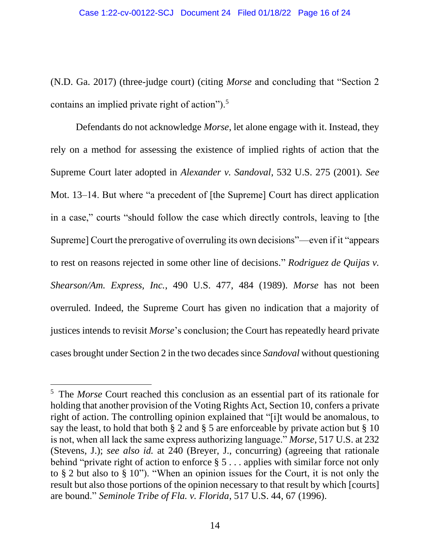(N.D. Ga. 2017) (three-judge court) (citing *Morse* and concluding that "Section 2 contains an implied private right of action"). $5$ 

Defendants do not acknowledge *Morse*, let alone engage with it. Instead, they rely on a method for assessing the existence of implied rights of action that the Supreme Court later adopted in *Alexander v. Sandoval*, 532 U.S. 275 (2001). *See* Mot. 13–14. But where "a precedent of [the Supreme] Court has direct application in a case," courts "should follow the case which directly controls, leaving to [the Supreme] Court the prerogative of overruling its own decisions"—even if it "appears to rest on reasons rejected in some other line of decisions." *Rodriguez de Quijas v. Shearson/Am. Express, Inc.*, 490 U.S. 477, 484 (1989). *Morse* has not been overruled. Indeed, the Supreme Court has given no indication that a majority of justices intends to revisit *Morse*'s conclusion; the Court has repeatedly heard private cases brought under Section 2 in the two decades since *Sandoval* without questioning

<sup>5</sup> The *Morse* Court reached this conclusion as an essential part of its rationale for holding that another provision of the Voting Rights Act, Section 10, confers a private right of action. The controlling opinion explained that "[i]t would be anomalous, to say the least, to hold that both § 2 and § 5 are enforceable by private action but § 10 is not, when all lack the same express authorizing language." *Morse*, 517 U.S. at 232 (Stevens, J.); *see also id.* at 240 (Breyer, J., concurring) (agreeing that rationale behind "private right of action to enforce  $\S 5...$  applies with similar force not only to § 2 but also to § 10"). "When an opinion issues for the Court, it is not only the result but also those portions of the opinion necessary to that result by which [courts] are bound." *Seminole Tribe of Fla. v. Florida*, 517 U.S. 44, 67 (1996).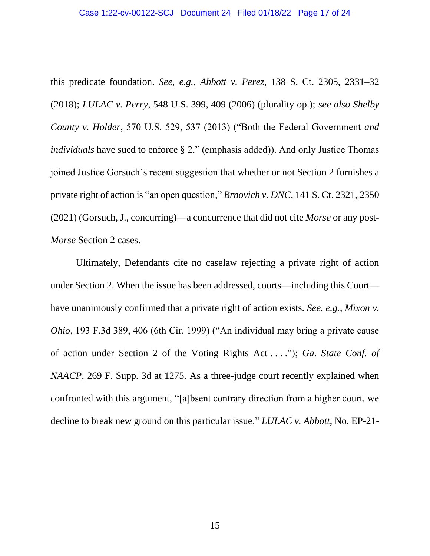this predicate foundation. *See, e.g.*, *Abbott v. Perez*, 138 S. Ct. 2305, 2331–32 (2018); *LULAC v. Perry*, 548 U.S. 399, 409 (2006) (plurality op.); *see also Shelby County v. Holder*, 570 U.S. 529, 537 (2013) ("Both the Federal Government *and individuals* have sued to enforce § 2." (emphasis added)). And only Justice Thomas joined Justice Gorsuch's recent suggestion that whether or not Section 2 furnishes a private right of action is "an open question," *Brnovich v. DNC*, 141 S. Ct. 2321, 2350 (2021) (Gorsuch, J., concurring)—a concurrence that did not cite *Morse* or any post-*Morse* Section 2 cases.

Ultimately, Defendants cite no caselaw rejecting a private right of action under Section 2. When the issue has been addressed, courts—including this Court have unanimously confirmed that a private right of action exists. *See, e.g.*, *Mixon v. Ohio*, 193 F.3d 389, 406 (6th Cir. 1999) ("An individual may bring a private cause of action under Section 2 of the Voting Rights Act . . . ."); *Ga. State Conf. of NAACP*, 269 F. Supp. 3d at 1275. As a three-judge court recently explained when confronted with this argument, "[a]bsent contrary direction from a higher court, we decline to break new ground on this particular issue." *LULAC v. Abbott*, No. EP-21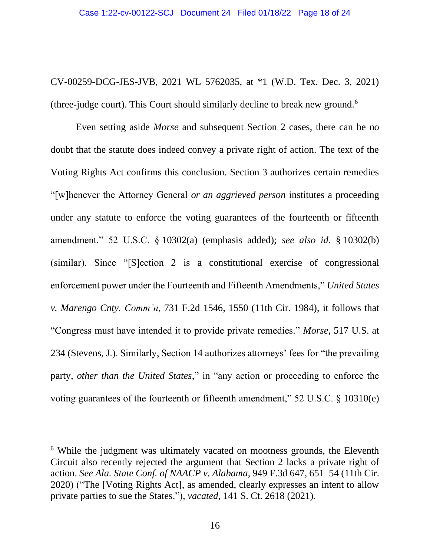CV-00259-DCG-JES-JVB, 2021 WL 5762035, at \*1 (W.D. Tex. Dec. 3, 2021) (three-judge court). This Court should similarly decline to break new ground.<sup>6</sup>

Even setting aside *Morse* and subsequent Section 2 cases, there can be no doubt that the statute does indeed convey a private right of action. The text of the Voting Rights Act confirms this conclusion. Section 3 authorizes certain remedies "[w]henever the Attorney General *or an aggrieved person* institutes a proceeding under any statute to enforce the voting guarantees of the fourteenth or fifteenth amendment." 52 U.S.C. § 10302(a) (emphasis added); *see also id.* § 10302(b) (similar). Since "[S]ection 2 is a constitutional exercise of congressional enforcement power under the Fourteenth and Fifteenth Amendments," *United States v. Marengo Cnty. Comm'n*, 731 F.2d 1546, 1550 (11th Cir. 1984), it follows that "Congress must have intended it to provide private remedies." *Morse*, 517 U.S. at 234 (Stevens, J.). Similarly, Section 14 authorizes attorneys' fees for "the prevailing party, *other than the United States*," in "any action or proceeding to enforce the voting guarantees of the fourteenth or fifteenth amendment," 52 U.S.C. § 10310(e)

<sup>&</sup>lt;sup>6</sup> While the judgment was ultimately vacated on mootness grounds, the Eleventh Circuit also recently rejected the argument that Section 2 lacks a private right of action. *See Ala. State Conf. of NAACP v. Alabama*, 949 F.3d 647, 651–54 (11th Cir. 2020) ("The [Voting Rights Act], as amended, clearly expresses an intent to allow private parties to sue the States."), *vacated*, 141 S. Ct. 2618 (2021).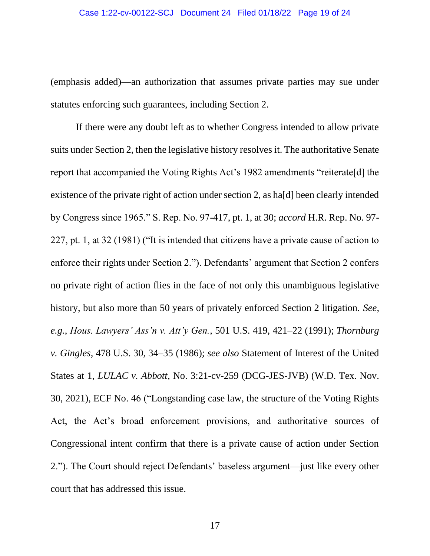(emphasis added)—an authorization that assumes private parties may sue under statutes enforcing such guarantees, including Section 2.

If there were any doubt left as to whether Congress intended to allow private suits under Section 2, then the legislative history resolves it. The authoritative Senate report that accompanied the Voting Rights Act's 1982 amendments "reiterate[d] the existence of the private right of action under section 2, as ha[d] been clearly intended by Congress since 1965." S. Rep. No. 97-417, pt. 1, at 30; *accord* H.R. Rep. No. 97- 227, pt. 1, at 32 (1981) ("It is intended that citizens have a private cause of action to enforce their rights under Section 2."). Defendants' argument that Section 2 confers no private right of action flies in the face of not only this unambiguous legislative history, but also more than 50 years of privately enforced Section 2 litigation. *See, e.g.*, *Hous. Lawyers' Ass'n v. Att'y Gen.*, 501 U.S. 419, 421–22 (1991); *Thornburg v. Gingles*, 478 U.S. 30, 34–35 (1986); *see also* Statement of Interest of the United States at 1, *LULAC v. Abbott*, No. 3:21-cv-259 (DCG-JES-JVB) (W.D. Tex. Nov. 30, 2021), ECF No. 46 ("Longstanding case law, the structure of the Voting Rights Act, the Act's broad enforcement provisions, and authoritative sources of Congressional intent confirm that there is a private cause of action under Section 2."). The Court should reject Defendants' baseless argument—just like every other court that has addressed this issue.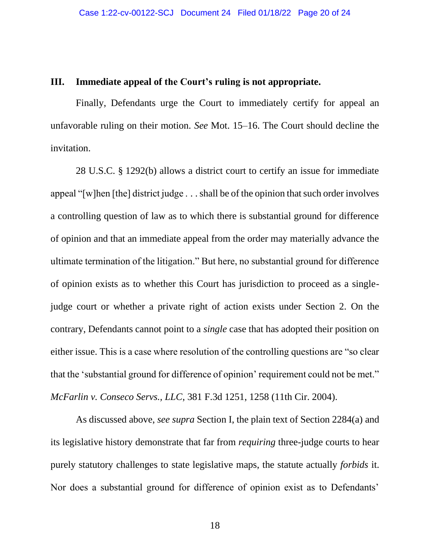#### <span id="page-19-0"></span>**III. Immediate appeal of the Court's ruling is not appropriate.**

Finally, Defendants urge the Court to immediately certify for appeal an unfavorable ruling on their motion. *See* Mot. 15–16. The Court should decline the invitation.

28 U.S.C. § 1292(b) allows a district court to certify an issue for immediate appeal "[w]hen [the] district judge . . . shall be of the opinion that such order involves a controlling question of law as to which there is substantial ground for difference of opinion and that an immediate appeal from the order may materially advance the ultimate termination of the litigation." But here, no substantial ground for difference of opinion exists as to whether this Court has jurisdiction to proceed as a singlejudge court or whether a private right of action exists under Section 2. On the contrary, Defendants cannot point to a *single* case that has adopted their position on either issue. This is a case where resolution of the controlling questions are "so clear that the 'substantial ground for difference of opinion' requirement could not be met." *McFarlin v. Conseco Servs., LLC*, 381 F.3d 1251, 1258 (11th Cir. 2004).

As discussed above, *see supra* Section I, the plain text of Section 2284(a) and its legislative history demonstrate that far from *requiring* three-judge courts to hear purely statutory challenges to state legislative maps, the statute actually *forbids* it. Nor does a substantial ground for difference of opinion exist as to Defendants'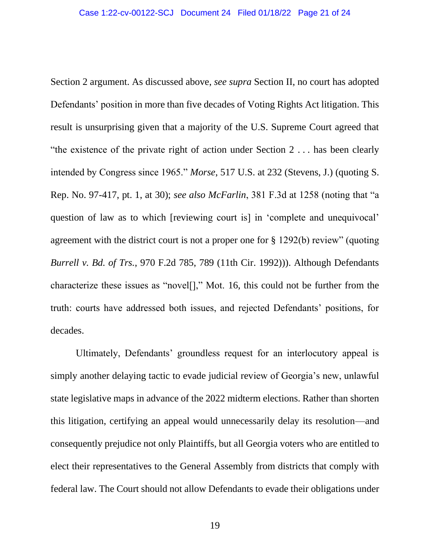Section 2 argument. As discussed above, *see supra* Section II, no court has adopted Defendants' position in more than five decades of Voting Rights Act litigation. This result is unsurprising given that a majority of the U.S. Supreme Court agreed that "the existence of the private right of action under Section 2 . . . has been clearly intended by Congress since 1965." *Morse*, 517 U.S. at 232 (Stevens, J.) (quoting S. Rep. No. 97-417, pt. 1, at 30); *see also McFarlin*, 381 F.3d at 1258 (noting that "a question of law as to which [reviewing court is] in 'complete and unequivocal' agreement with the district court is not a proper one for § 1292(b) review" (quoting *Burrell v. Bd. of Trs.*, 970 F.2d 785, 789 (11th Cir. 1992))). Although Defendants characterize these issues as "novel[]," Mot. 16, this could not be further from the truth: courts have addressed both issues, and rejected Defendants' positions, for decades.

Ultimately, Defendants' groundless request for an interlocutory appeal is simply another delaying tactic to evade judicial review of Georgia's new, unlawful state legislative maps in advance of the 2022 midterm elections. Rather than shorten this litigation, certifying an appeal would unnecessarily delay its resolution—and consequently prejudice not only Plaintiffs, but all Georgia voters who are entitled to elect their representatives to the General Assembly from districts that comply with federal law. The Court should not allow Defendants to evade their obligations under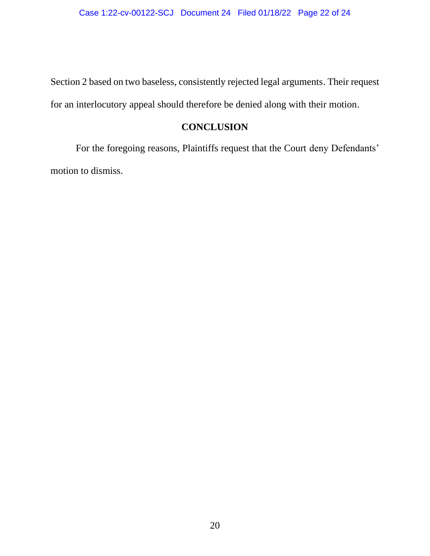Section 2 based on two baseless, consistently rejected legal arguments. Their request for an interlocutory appeal should therefore be denied along with their motion.

## **CONCLUSION**

<span id="page-21-0"></span>For the foregoing reasons, Plaintiffs request that the Court deny Defendants' motion to dismiss.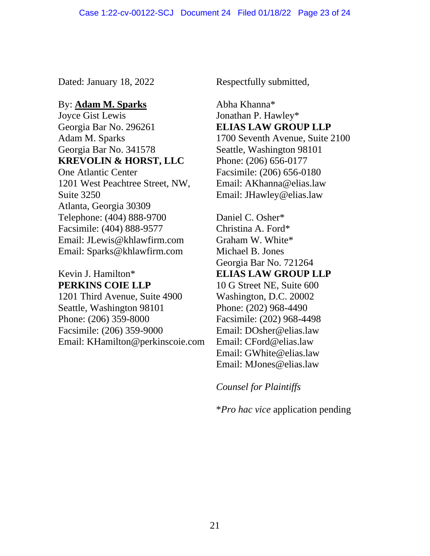Dated: January 18, 2022 Respectfully submitted,

### By: **Adam M. Sparks**

Joyce Gist Lewis Georgia Bar No. 296261 Adam M. Sparks Georgia Bar No. 341578 **KREVOLIN & HORST, LLC** One Atlantic Center

1201 West Peachtree Street, NW, Suite 3250 Atlanta, Georgia 30309 Telephone: (404) 888-9700 Facsimile: (404) 888-9577 Email: JLewis@khlawfirm.com Email: Sparks@khlawfirm.com

### Kevin J. Hamilton\* **PERKINS COIE LLP**

1201 Third Avenue, Suite 4900 Seattle, Washington 98101 Phone: (206) 359-8000 Facsimile: (206) 359-9000 Email: KHamilton@perkinscoie.com

Abha Khanna\* Jonathan P. Hawley\* **ELIAS LAW GROUP LLP** 1700 Seventh Avenue, Suite 2100 Seattle, Washington 98101 Phone: (206) 656-0177 Facsimile: (206) 656-0180 Email: AKhanna@elias.law Email: JHawley@elias.law

Daniel C. Osher\* Christina A. Ford\* Graham W. White\* Michael B. Jones Georgia Bar No. 721264 **ELIAS LAW GROUP LLP** 10 G Street NE, Suite 600 Washington, D.C. 20002 Phone: (202) 968-4490 Facsimile: (202) 968-4498 Email: DOsher@elias.law Email: CFord@elias.law Email: GWhite@elias.law Email: MJones@elias.law

*Counsel for Plaintiffs*

\**Pro hac vice* application pending